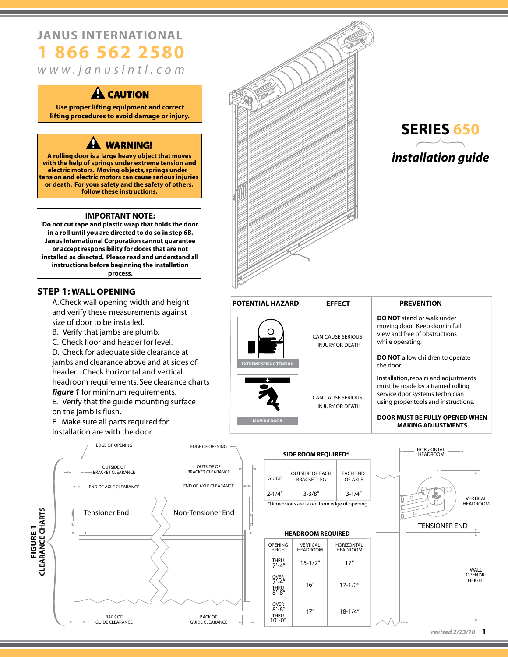# **JANUS INTERNATIONAL 1 866 562 2580**

*w w w . j a n u s i n t l . c o m*

### **CAUTION**

**Use proper lifting equipment and correct lifting procedures to avoid damage or injury.**

### **WARNING!**

**A rolling door is a large heavy object that moves with the help of springs under extreme tension and follow these instructions. electric motors. Moving objects, springs under tension and electric motors can cause serious injuries or death. For your safety and the safety of others,**

#### **IMPORTANT NOTE:**

**Do not cut tape and plastic wrap that holds the door in a roll until you are directed to do so in step 6B. Janus International Corporation cannot guarantee or accept responsibility for doors that are not installed as directed. Please read and understand all instructions before beginning the installation process.**

#### **STEP 1: WALL OPENING**

 A. Check wall opening width and height and verify these measurements against size of door to be installed.

- B. Verify that jambs are plumb.
- C. Check floor and header for level.

 D. Check for adequate side clearance at jambs and clearance above and at sides of header. Check horizontal and vertical headroom requirements. See clearance charts  *figure 1* for minimum requirements.

 E. Verify that the guide mounting surface on the jamb is flush.

 F. Make sure all parts required for installation are with the door.





| <b>POTENTIAL HAZARD</b>       | <b>EFFECT</b>                                      | <b>PREVENTION</b>                                                                                                                                                                                                    |
|-------------------------------|----------------------------------------------------|----------------------------------------------------------------------------------------------------------------------------------------------------------------------------------------------------------------------|
| <b>EXTREME SPRING TENSION</b> | <b>CAN CAUSE SERIOUS</b><br><b>INJURY OR DEATH</b> | <b>DO NOT</b> stand or walk under<br>moving door. Keep door in full<br>view and free of obstructions<br>while operating.<br><b>DO NOT</b> allow children to operate<br>the door.                                     |
| <b>MOVING DOOR</b>            | <b>CAN CAUSE SERIOUS</b><br><b>INJURY OR DEATH</b> | Installation, repairs and adjustments<br>must be made by a trained rolling<br>service door systems technician<br>using proper tools and instructions.<br>DOOR MUST BE FULLY OPENED WHEN<br><b>MAKING ADJUSTMENTS</b> |



| <b>SIDE ROOM REQUIRED*</b>                 |                                               |                             |  |  |  |
|--------------------------------------------|-----------------------------------------------|-----------------------------|--|--|--|
| GUIDE                                      | <b>OUTSIDE OF EACH</b><br><b>BRACKET I FG</b> | <b>EACH END</b><br>OF AXI F |  |  |  |
| $2 - 1/4"$                                 | $3 - 3/8''$                                   | $3 - 1/4''$                 |  |  |  |
| *Dimensions are taken from edge of opening |                                               |                             |  |  |  |

#### **HEADROOM REQUIRED**

| <b>OPENING</b><br><b>HEIGHT</b>                         | <b>VERTICAL</b><br><b>HEADROOM</b> | <b>HORIZONTAL</b><br><b>HEADROOM</b> |
|---------------------------------------------------------|------------------------------------|--------------------------------------|
| THRU<br>$7' - 4''$                                      | $15 - 1/2"$                        | 17"                                  |
| <b>OVER</b><br>$7' - 4''$<br>THRU<br>$8' - 8''$         | 16''                               | $17 - 1/2"$                          |
| <b>OVER</b><br>$8' - 8''$<br><b>THRU</b><br>$10' - 0''$ | 17''                               | $18 - 1/4"$                          |



*revised 2/23/10* **1**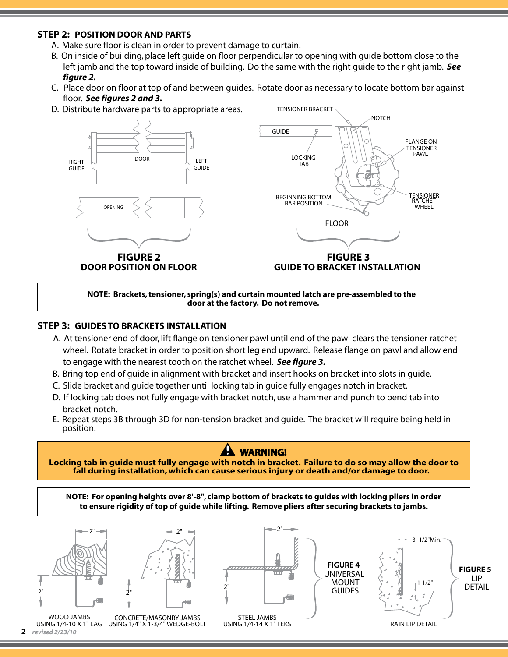#### **STEP 2: POSITION DOOR AND PARTS**

- A. Make sure floor is clean in order to prevent damage to curtain.
- B. On inside of building, place left guide on floor perpendicular to opening with guide bottom close to the left jamb and the top toward inside of building. Do the same with the right guide to the right jamb. *See figure 2.*
- C. Place door on floor at top of and between guides. Rotate door as necessary to locate bottom bar against floor. *See figures 2 and 3.*

TENSIONER BRACKET

D. Distribute hardware parts to appropriate areas.



**NOTE: Brackets, tensioner, spring(s) and curtain mounted latch are pre-assembled to the door at the factory. Do not remove.**

#### **STEP 3: GUIDES TO BRACKETS INSTALLATION**

- A. At tensioner end of door, lift flange on tensioner pawl until end of the pawl clears the tensioner ratchet wheel. Rotate bracket in order to position short leg end upward. Release flange on pawl and allow end to engage with the nearest tooth on the ratchet wheel. *See figure 3.*
- B. Bring top end of guide in alignment with bracket and insert hooks on bracket into slots in guide.
- C. Slide bracket and guide together until locking tab in guide fully engages notch in bracket.
- D. If locking tab does not fully engage with bracket notch, use a hammer and punch to bend tab into bracket notch.
- E. Repeat steps 3B through 3D for non-tension bracket and guide. The bracket will require being held in position.

### **WARNING!**

**Locking tab in guide must fully engage with notch in bracket. Failure to do so may allow the door to fall during installation, which can cause serious injury or death and/or damage to door.** 

**NOTE: For opening heights over 8'-8", clamp bottom of brackets to guides with locking pliers in order to ensure rigidity of top of guide while lifting. Remove pliers after securing brackets to jambs.**





WOOD JAMBS USING 1/4-10 X 1" LAG USING 1/4" X 1-3/4" WEDGE-BOLT CONCRETE/MASONRY JAMBS **2** *revised 2/23/10*



2"

STEEL JAMBS USING 1/4-14 X 1" TEKS

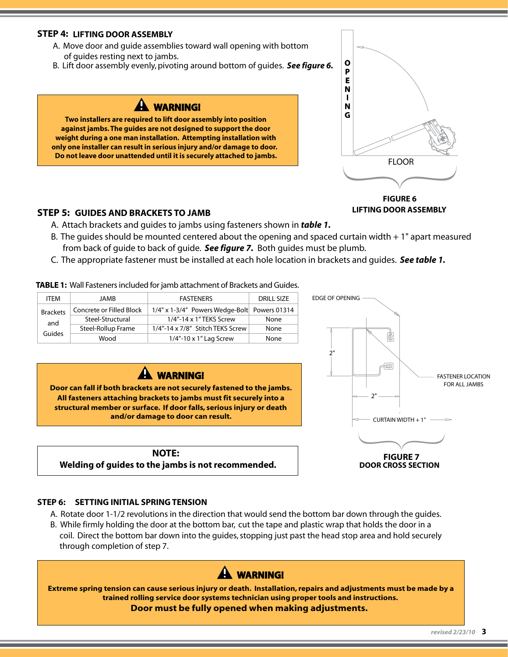#### **STEP 4: LIFTING DOOR ASSEMBLY**

- A. Move door and guide assemblies toward wall opening with bottom of guides resting next to jambs.
- B. Lift door assembly evenly, pivoting around bottom of guides. *See figure 6.*

## **WARNING!**

**Two installers are required to lift door assembly into position against jambs. The guides are not designed to support the door weight during a one man installation. Attempting installation with only one installer can result in serious injury and/or damage to door. Do not leave door unattended until it is securely attached to jambs.**



#### **FIGURE 6 LIFTING DOOR ASSEMBLY**

#### **STEP 5: GUIDES AND BRACKETS TO JAMB**

- A. Attach brackets and guides to jambs using fasteners shown in *table 1.*
- B. The guides should be mounted centered about the opening and spaced curtain width  $+1$ " apart measured from back of guide to back of guide. *See figure 7.* Both guides must be plumb.
- C. The appropriate fastener must be installed at each hole location in brackets and guides. *See table 1.*

**TABLE 1:** Wall Fasteners included for jamb attachment of Brackets and Guides.

| <b>ITFM</b>            | <b>JAMB</b>              | <b>FASTENERS</b>                             | <b>DRILL SIZE</b> |
|------------------------|--------------------------|----------------------------------------------|-------------------|
| <b>Brackets</b><br>and | Concrete or Filled Block | 1/4" x 1-3/4" Powers Wedge-Bolt Powers 01314 |                   |
|                        | Steel-Structural         | 1/4"-14 x 1" TEKS Screw                      | None              |
| Guides                 | Steel-Rollup Frame       | 1/4"-14 x 7/8" Stitch TEKS Screw             | None              |
|                        | Wood                     | $1/4"$ -10 x 1" Lag Screw                    | None              |



**Door can fall if both brackets are not securely fastened to the jambs. All fasteners attaching brackets to jambs must fit securely into a structural member or surface. If door falls, serious injury or death and/or damage to door can result.**

#### **NOTE: Welding of guides to the jambs is not recommended.**



#### **STEP 6: SETTING INITIAL SPRING TENSION**

- A. Rotate door 1-1/2 revolutions in the direction that would send the bottom bar down through the guides.
- coil. Direct the bottom bar down into the guides, stopping just past the head stop area and hold securely through completion of step 7. B. While firmly holding the door at the bottom bar, cut the tape and plastic wrap that holds the door in a

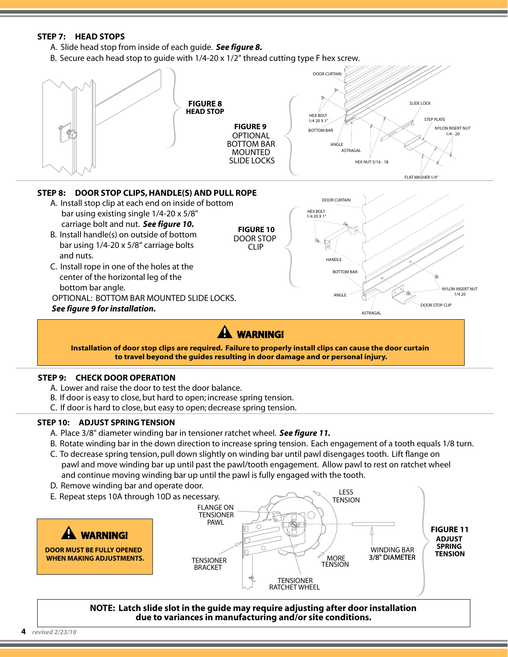#### **STEP 7: HEAD STOPS**

- A. Slide head stop from inside of each guide. *See figure 8.*
- B. Secure each head stop to quide with  $1/4$ -20 x  $1/2$ " thread cutting type F hex screw.



**to travel beyond the guides resulting in door damage and or personal injury.**

#### **STEP 9: CHECK DOOR OPERATION**

- A. Lower and raise the door to test the door balance.
- B. If door is easy to close, but hard to open; increase spring tension.
- C. If door is hard to close, but easy to open; decrease spring tension.

#### **STEP 10: ADJUST SPRING TENSION**

- A. Place 3/8" diameter winding bar in tensioner ratchet wheel. *See figure 11.*
- B. Rotate winding bar in the down direction to increase spring tension. Each engagement of a tooth equals 1/8 turn.
- C. To decrease spring tension, pull down slightly on winding bar until pawl disengages tooth. Lift flange on pawl and move winding bar up until past the pawl/tooth engagement. Allow pawl to rest on ratchet wheel and continue moving winding bar up until the pawl is fully engaged with the tooth.
- D. Remove winding bar and operate door.
- E. Repeat steps 10A through 10D as necessary. **WARNING! DOOR MUST BE FULLY OPENED WHEN MAKING ADJUSTMENTS.** TENSIONER BRACKET **TENSIONER** RATCHET WHEEL **TENSION** LESS MORE **TENSION** FLANGE ON **TENSIONER** PAWL WINDING BAR 3/8" DIAMETER **FIGURE 11 ADJUST SPRING TENSION**

**NOTE: Latch slide slot in the guide may require adjusting after door installation due to variances in manufacturing and/or site conditions.**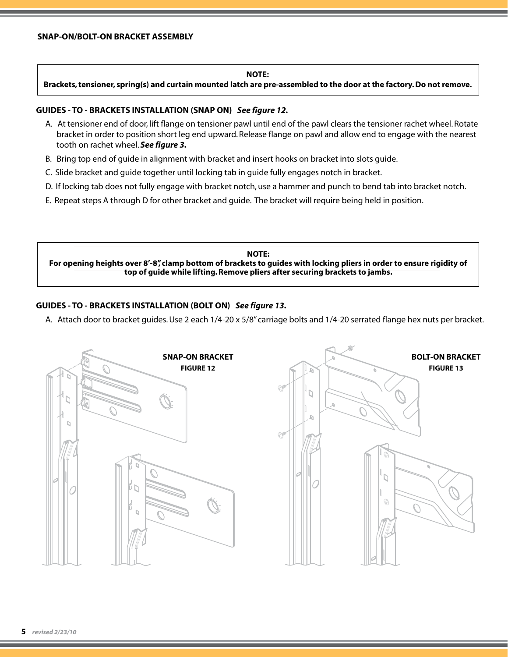#### **NOTE:**

**Brackets, tensioner, spring(s) and curtain mounted latch are pre-assembled to the door at the factory. Do not remove.**

#### **GUIDES - TO - BRACKETS INSTALLATION (SNAP ON)** *See figure 12.*

- A. At tensioner end of door, lift flange on tensioner pawl until end of the pawl clears the tensioner rachet wheel. Rotate bracket in order to position short leg end upward. Release flange on pawl and allow end to engage with the nearest tooth on rachet wheel. *See figure 3.*
- B. Bring top end of guide in alignment with bracket and insert hooks on bracket into slots guide.
- C. Slide bracket and guide together until locking tab in guide fully engages notch in bracket.
- D. If locking tab does not fully engage with bracket notch, use a hammer and punch to bend tab into bracket notch.
- E. Repeat steps A through D for other bracket and guide. The bracket will require being held in position.

**NOTE: For opening heights over 8'-8", clamp bottom of brackets to guides with locking pliers in order to ensure rigidity of top of guide while lifting. Remove pliers after securing brackets to jambs.**

#### **GUIDES - TO - BRACKETS INSTALLATION (BOLT ON)** *See figure 13.*

A. Attach door to bracket guides. Use 2 each 1/4-20 x 5/8" carriage bolts and 1/4-20 serrated flange hex nuts per bracket.